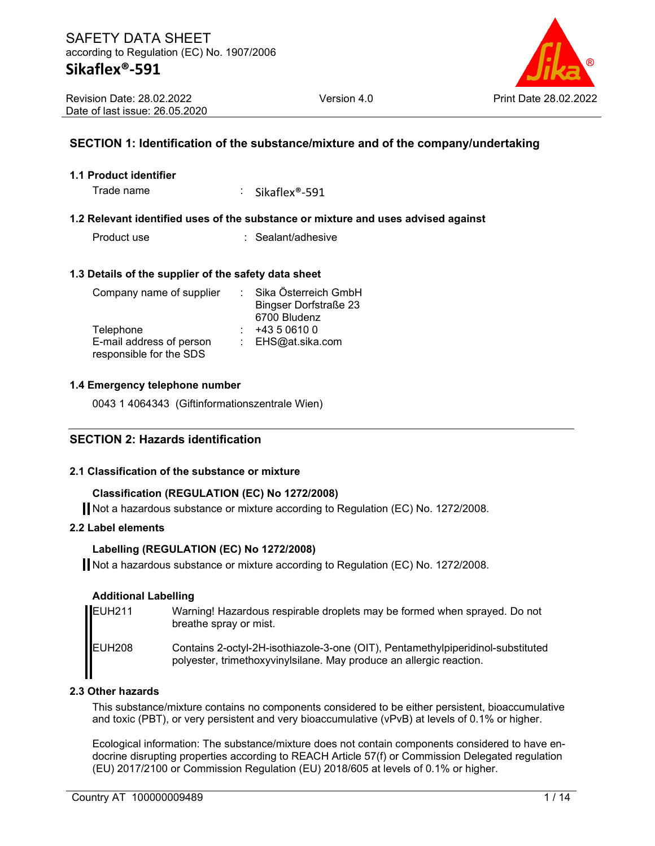

#### **SECTION 1: Identification of the substance/mixture and of the company/undertaking**

#### **1.1 Product identifier**

Trade name : Sikaflex<sup>®</sup>-591

#### **1.2 Relevant identified uses of the substance or mixture and uses advised against**

Product use : Sealant/adhesive

#### **1.3 Details of the supplier of the safety data sheet**

| Company name of supplier | Sika Österreich GmbH         |
|--------------------------|------------------------------|
|                          | <b>Bingser Dorfstraße 23</b> |
|                          | 6700 Bludenz                 |
| Telephone                | +43 5 0610 0                 |
| E-mail address of person | : $EHS@at.sika.com$          |
| responsible for the SDS  |                              |

#### **1.4 Emergency telephone number**

0043 1 4064343 (Giftinformationszentrale Wien)

#### **SECTION 2: Hazards identification**

#### **2.1 Classification of the substance or mixture**

#### **Classification (REGULATION (EC) No 1272/2008)**

Not a hazardous substance or mixture according to Regulation (EC) No. 1272/2008.

#### **2.2 Label elements**

#### **Labelling (REGULATION (EC) No 1272/2008)**

Not a hazardous substance or mixture according to Regulation (EC) No. 1272/2008.

#### **Additional Labelling**

| EUH <sub>211</sub> | Warning! Hazardous respirable droplets may be formed when sprayed. Do not<br>breathe spray or mist.                                                    |
|--------------------|--------------------------------------------------------------------------------------------------------------------------------------------------------|
| EUH <sub>208</sub> | Contains 2-octyl-2H-isothiazole-3-one (OIT), Pentamethylpiperidinol-substituted<br>polyester, trimethoxyvinylsilane. May produce an allergic reaction. |

#### **2.3 Other hazards**

This substance/mixture contains no components considered to be either persistent, bioaccumulative and toxic (PBT), or very persistent and very bioaccumulative (vPvB) at levels of 0.1% or higher.

Ecological information: The substance/mixture does not contain components considered to have endocrine disrupting properties according to REACH Article 57(f) or Commission Delegated regulation (EU) 2017/2100 or Commission Regulation (EU) 2018/605 at levels of 0.1% or higher.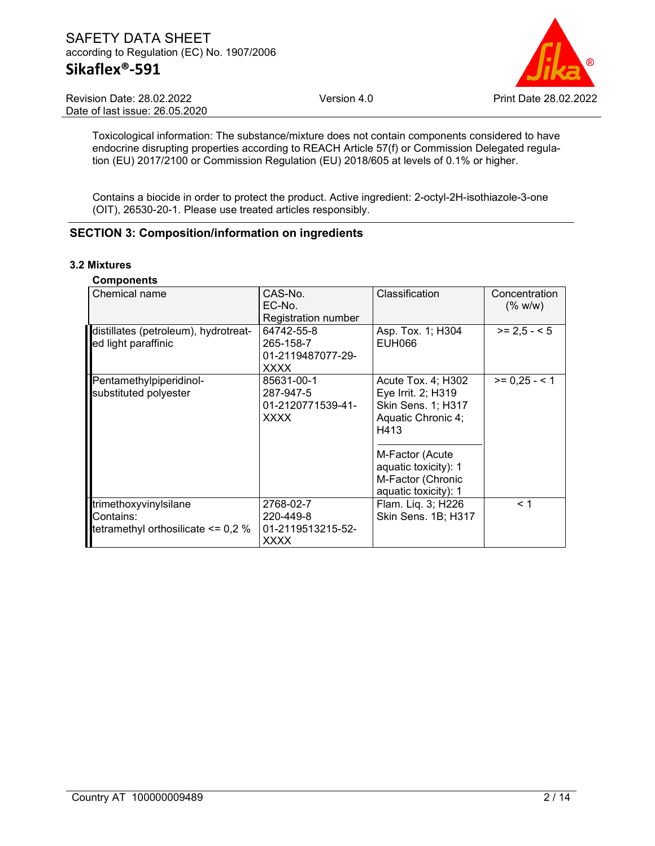#### SAFETY DATA SHEET according to Regulation (EC) No. 1907/2006 **Sikaflex®-591**



Revision Date: 28.02.2022 Date of last issue: 26.05.2020

Toxicological information: The substance/mixture does not contain components considered to have endocrine disrupting properties according to REACH Article 57(f) or Commission Delegated regulation (EU) 2017/2100 or Commission Regulation (EU) 2018/605 at levels of 0.1% or higher.

Contains a biocide in order to protect the product. Active ingredient: 2-octyl-2H-isothiazole-3-one (OIT), 26530-20-1. Please use treated articles responsibly.

#### **SECTION 3: Composition/information on ingredients**

#### **3.2 Mixtures**

| <b>Components</b>                      |                     |                      |                          |
|----------------------------------------|---------------------|----------------------|--------------------------|
| Chemical name                          | CAS-No.<br>EC-No.   | Classification       | Concentration<br>(% w/w) |
|                                        | Registration number |                      |                          |
| distillates (petroleum), hydrotreat-   | 64742-55-8          | Asp. Tox. 1; H304    | $>= 2.5 - 5$             |
| ed light paraffinic                    | 265-158-7           | <b>EUH066</b>        |                          |
|                                        | 01-2119487077-29-   |                      |                          |
|                                        | XXXX                |                      |                          |
| Pentamethylpiperidinol-                | 85631-00-1          | Acute Tox. 4: H302   | $>= 0,25 - 1$            |
| substituted polyester                  | 287-947-5           | Eye Irrit. 2; H319   |                          |
|                                        | 01-2120771539-41-   | Skin Sens. 1; H317   |                          |
|                                        | <b>XXXX</b>         | Aquatic Chronic 4;   |                          |
|                                        |                     | H413                 |                          |
|                                        |                     | M-Factor (Acute      |                          |
|                                        |                     | aquatic toxicity): 1 |                          |
|                                        |                     | M-Factor (Chronic    |                          |
|                                        |                     | aquatic toxicity): 1 |                          |
| trimethoxyvinylsilane                  | 2768-02-7           | Flam. Lig. 3; H226   | < 1                      |
| Contains:                              | 220-449-8           | Skin Sens. 1B; H317  |                          |
| tetramethyl orthosilicate $\leq$ 0,2 % | 01-2119513215-52-   |                      |                          |
|                                        | XXXX                |                      |                          |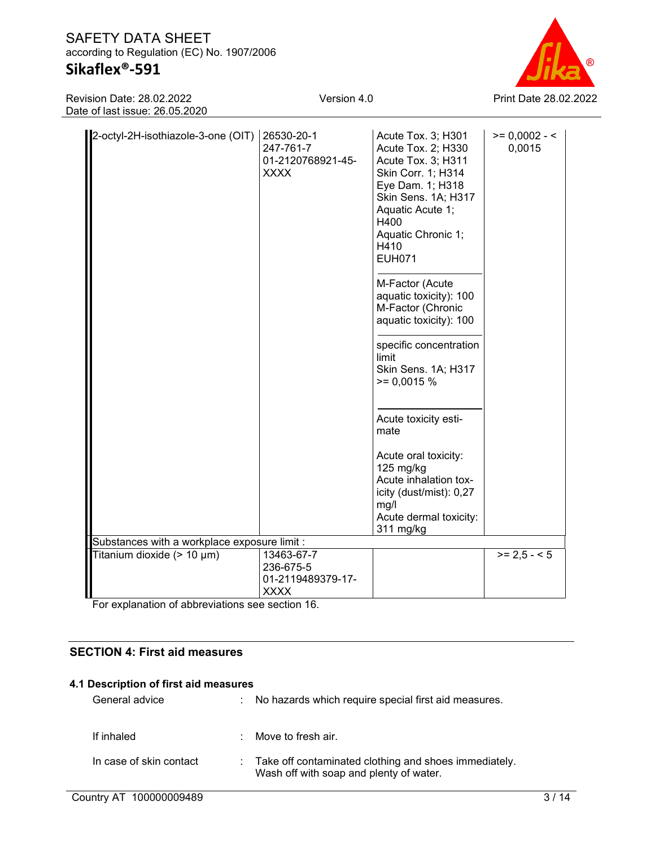## **Sikaflex®-591**

Revision Date: 28.02.2022 Date of last issue: 26.05.2020



| 2-octyl-2H-isothiazole-3-one (OIT)           | 26530-20-1<br>247-761-7<br>01-2120768921-45-<br><b>XXXX</b> | Acute Tox. 3; H301<br>Acute Tox. 2; H330<br>Acute Tox. 3; H311<br>Skin Corr. 1; H314<br>Eye Dam. 1; H318<br>Skin Sens. 1A; H317<br>Aquatic Acute 1;<br>H400<br>Aquatic Chronic 1;<br>H410<br><b>EUH071</b> | $>= 0,0002 - 5$<br>0,0015 |
|----------------------------------------------|-------------------------------------------------------------|------------------------------------------------------------------------------------------------------------------------------------------------------------------------------------------------------------|---------------------------|
|                                              |                                                             | M-Factor (Acute<br>aquatic toxicity): 100<br>M-Factor (Chronic<br>aquatic toxicity): 100<br>specific concentration                                                                                         |                           |
|                                              |                                                             | limit<br>Skin Sens. 1A; H317<br>$>= 0,0015%$                                                                                                                                                               |                           |
|                                              |                                                             | Acute toxicity esti-<br>mate                                                                                                                                                                               |                           |
|                                              |                                                             | Acute oral toxicity:<br>$125$ mg/kg<br>Acute inhalation tox-<br>icity (dust/mist): 0,27<br>mg/l                                                                                                            |                           |
|                                              |                                                             | Acute dermal toxicity:<br>311 mg/kg                                                                                                                                                                        |                           |
| Substances with a workplace exposure limit : |                                                             |                                                                                                                                                                                                            |                           |
| Titanium dioxide (> 10 µm)                   | 13463-67-7<br>236-675-5<br>01-2119489379-17-                |                                                                                                                                                                                                            | $>= 2.5 - 5$              |
|                                              | <b>XXXX</b>                                                 |                                                                                                                                                                                                            |                           |

For explanation of abbreviations see section 16.

#### **SECTION 4: First aid measures**

### **4.1 Description of first aid measures**

| General advice          | No hazards which require special first aid measures.                                               |
|-------------------------|----------------------------------------------------------------------------------------------------|
| If inhaled              | Move to fresh air.                                                                                 |
| In case of skin contact | : Take off contaminated clothing and shoes immediately.<br>Wash off with soap and plenty of water. |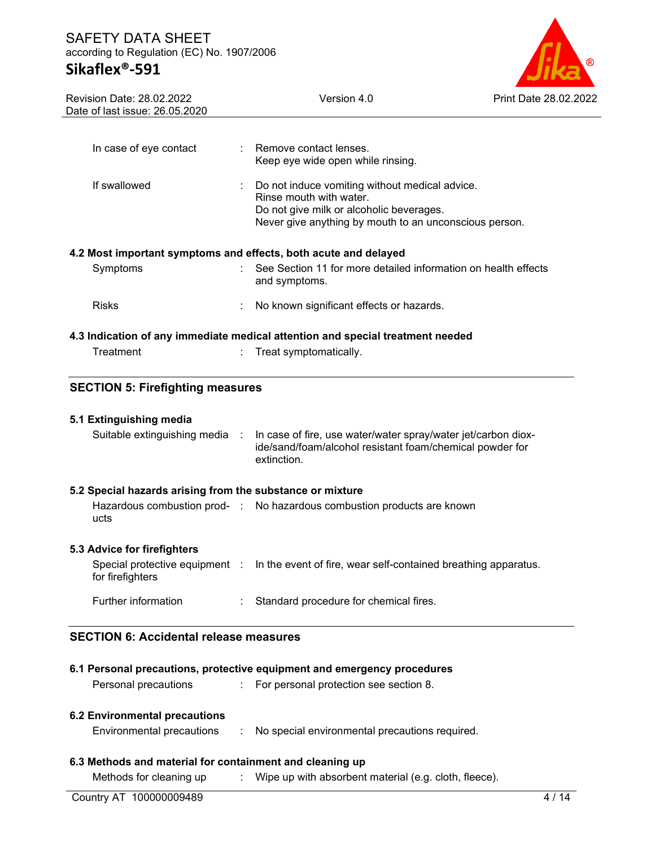#### SAFETY DATA SHEET according to Regulation (EC) No. 1907/2006 **Sikaflex®-591**

# $^{\circledR}$

| <b>Revision Date: 28.02.2022</b><br>Date of last issue: 26.05.2020 | Version 4.0                                                                                                                              | Print Date 28.02.2022 |
|--------------------------------------------------------------------|------------------------------------------------------------------------------------------------------------------------------------------|-----------------------|
|                                                                    |                                                                                                                                          |                       |
| In case of eye contact                                             | Remove contact lenses.<br>Keep eye wide open while rinsing.                                                                              |                       |
| If swallowed                                                       | Do not induce vomiting without medical advice.<br>Rinse mouth with water.                                                                |                       |
|                                                                    | Do not give milk or alcoholic beverages.<br>Never give anything by mouth to an unconscious person.                                       |                       |
| 4.2 Most important symptoms and effects, both acute and delayed    |                                                                                                                                          |                       |
| Symptoms                                                           | See Section 11 for more detailed information on health effects<br>and symptoms.                                                          |                       |
| <b>Risks</b>                                                       | No known significant effects or hazards.                                                                                                 |                       |
|                                                                    |                                                                                                                                          |                       |
|                                                                    |                                                                                                                                          |                       |
| Treatment                                                          | 4.3 Indication of any immediate medical attention and special treatment needed<br>Treat symptomatically.                                 |                       |
| <b>SECTION 5: Firefighting measures</b>                            |                                                                                                                                          |                       |
| 5.1 Extinguishing media                                            |                                                                                                                                          |                       |
| Suitable extinguishing media :                                     | In case of fire, use water/water spray/water jet/carbon diox-<br>ide/sand/foam/alcohol resistant foam/chemical powder for<br>extinction. |                       |
| 5.2 Special hazards arising from the substance or mixture          |                                                                                                                                          |                       |
| ucts                                                               | Hazardous combustion prod- : No hazardous combustion products are known                                                                  |                       |
| 5.3 Advice for firefighters                                        |                                                                                                                                          |                       |
| for firefighters                                                   | Special protective equipment : In the event of fire, wear self-contained breathing apparatus.                                            |                       |

## **6.1 Personal precautions, protective equipment and emergency procedures**

Personal precautions : For personal protection see section 8.

#### **6.2 Environmental precautions**

Environmental precautions : No special environmental precautions required.

#### **6.3 Methods and material for containment and cleaning up**

Methods for cleaning up : Wipe up with absorbent material (e.g. cloth, fleece).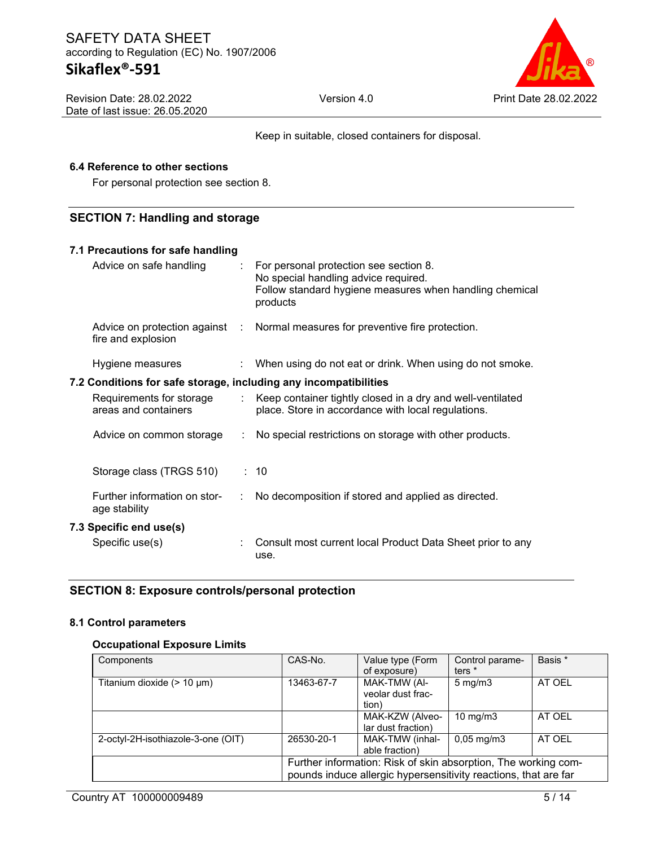

Keep in suitable, closed containers for disposal.

#### **6.4 Reference to other sections**

For personal protection see section 8.

#### **SECTION 7: Handling and storage**

| 7.1 Precautions for safe handling                                |    |                                                                                                                                                         |
|------------------------------------------------------------------|----|---------------------------------------------------------------------------------------------------------------------------------------------------------|
| Advice on safe handling                                          |    | : For personal protection see section 8.<br>No special handling advice required.<br>Follow standard hygiene measures when handling chemical<br>products |
| fire and explosion                                               |    | Advice on protection against : Normal measures for preventive fire protection.                                                                          |
| Hygiene measures                                                 |    | $\therefore$ When using do not eat or drink. When using do not smoke.                                                                                   |
| 7.2 Conditions for safe storage, including any incompatibilities |    |                                                                                                                                                         |
| Requirements for storage<br>areas and containers                 |    | : Keep container tightly closed in a dry and well-ventilated<br>place. Store in accordance with local regulations.                                      |
|                                                                  |    | Advice on common storage : No special restrictions on storage with other products.                                                                      |
| Storage class (TRGS 510)                                         |    | : 10                                                                                                                                                    |
| Further information on stor-<br>age stability                    | ÷. | No decomposition if stored and applied as directed.                                                                                                     |
| 7.3 Specific end use(s)                                          |    |                                                                                                                                                         |
| Specific use(s)                                                  |    | Consult most current local Product Data Sheet prior to any<br>use.                                                                                      |

#### **SECTION 8: Exposure controls/personal protection**

#### **8.1 Control parameters**

#### **Occupational Exposure Limits**

| Components                         | CAS-No.    | Value type (Form<br>of exposure)                                                                                                  | Control parame-<br>ters <sup>*</sup> | Basis * |
|------------------------------------|------------|-----------------------------------------------------------------------------------------------------------------------------------|--------------------------------------|---------|
| Titanium dioxide $(> 10 \mu m)$    | 13463-67-7 | MAK-TMW (AI-<br>veolar dust frac-<br>tion)                                                                                        | $5 \text{ mg/m}$                     | AT OEL  |
|                                    |            | MAK-KZW (Alveo-<br>lar dust fraction)                                                                                             | $10 \text{ mg/m}$                    | AT OEL  |
| 2-octyl-2H-isothiazole-3-one (OIT) | 26530-20-1 | MAK-TMW (inhal-<br>able fraction)                                                                                                 | $0,05 \,\mathrm{mg/m}$               | AT OEL  |
|                                    |            | Further information: Risk of skin absorption, The working com-<br>pounds induce allergic hypersensitivity reactions, that are far |                                      |         |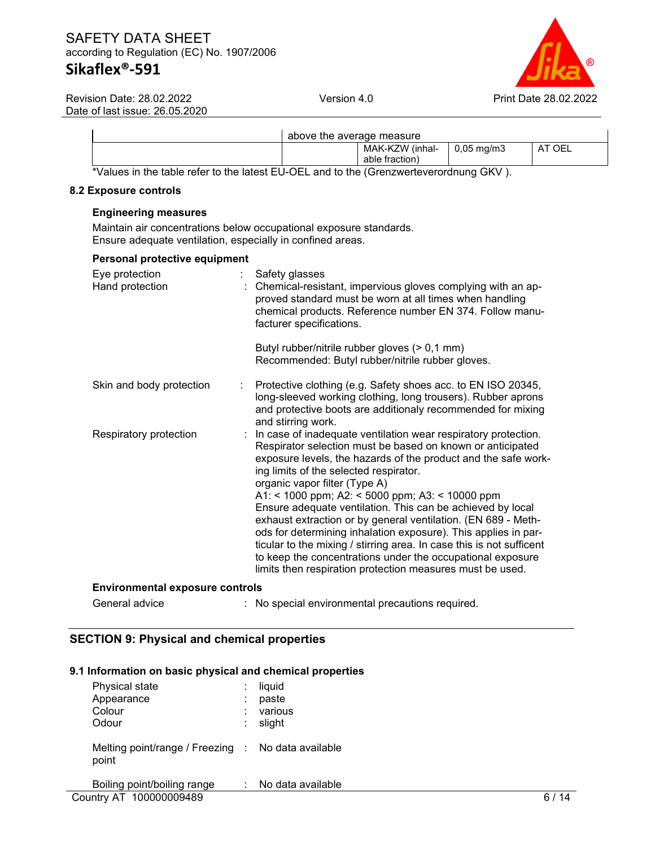

|                                                                                               | above the average measure |                                   |                   |        |
|-----------------------------------------------------------------------------------------------|---------------------------|-----------------------------------|-------------------|--------|
|                                                                                               |                           | MAK-KZW (inhal-<br>able fraction) | $\mid$ 0.05 ma/m3 | AT OEL |
| *Values in the table refer to the latest EU OEL and to the <i>(Crenzwerteverordnung CKV</i> ) |                           |                                   |                   |        |

Values in the table refer to the latest EU-OEL and to the (Grenzwerteverordnung GKV ).

#### **8.2 Exposure controls**

#### **Engineering measures**

Maintain air concentrations below occupational exposure standards. Ensure adequate ventilation, especially in confined areas.

| Personal protective equipment          |                                                                                                                                                                                                                                                                                                                                                                                                                                                                                                                                                                                                                                                                                                                                    |
|----------------------------------------|------------------------------------------------------------------------------------------------------------------------------------------------------------------------------------------------------------------------------------------------------------------------------------------------------------------------------------------------------------------------------------------------------------------------------------------------------------------------------------------------------------------------------------------------------------------------------------------------------------------------------------------------------------------------------------------------------------------------------------|
| Eye protection<br>Hand protection      | Safety glasses<br>: Chemical-resistant, impervious gloves complying with an ap-<br>proved standard must be worn at all times when handling<br>chemical products. Reference number EN 374. Follow manu-<br>facturer specifications.                                                                                                                                                                                                                                                                                                                                                                                                                                                                                                 |
|                                        | Butyl rubber/nitrile rubber gloves (> 0,1 mm)<br>Recommended: Butyl rubber/nitrile rubber gloves.                                                                                                                                                                                                                                                                                                                                                                                                                                                                                                                                                                                                                                  |
| Skin and body protection<br>÷          | Protective clothing (e.g. Safety shoes acc. to EN ISO 20345,<br>long-sleeved working clothing, long trousers). Rubber aprons<br>and protective boots are additionaly recommended for mixing<br>and stirring work.                                                                                                                                                                                                                                                                                                                                                                                                                                                                                                                  |
| Respiratory protection                 | : In case of inadequate ventilation wear respiratory protection.<br>Respirator selection must be based on known or anticipated<br>exposure levels, the hazards of the product and the safe work-<br>ing limits of the selected respirator.<br>organic vapor filter (Type A)<br>A1: < 1000 ppm; A2: < 5000 ppm; A3: < 10000 ppm<br>Ensure adequate ventilation. This can be achieved by local<br>exhaust extraction or by general ventilation. (EN 689 - Meth-<br>ods for determining inhalation exposure). This applies in par-<br>ticular to the mixing / stirring area. In case this is not sufficent<br>to keep the concentrations under the occupational exposure<br>limits then respiration protection measures must be used. |
| <b>Environmental exposure controls</b> |                                                                                                                                                                                                                                                                                                                                                                                                                                                                                                                                                                                                                                                                                                                                    |

General advice : No special environmental precautions required.

## **SECTION 9: Physical and chemical properties**

#### **9.1 Information on basic physical and chemical properties**

| Physical state<br>Appearance<br>Colour<br>Odour             | ÷<br>٠<br>÷ | liquid<br>paste<br>various<br>slight |
|-------------------------------------------------------------|-------------|--------------------------------------|
| Melting point/range / Freezing : No data available<br>point |             |                                      |
| Boiling point/boiling range                                 |             | No data available                    |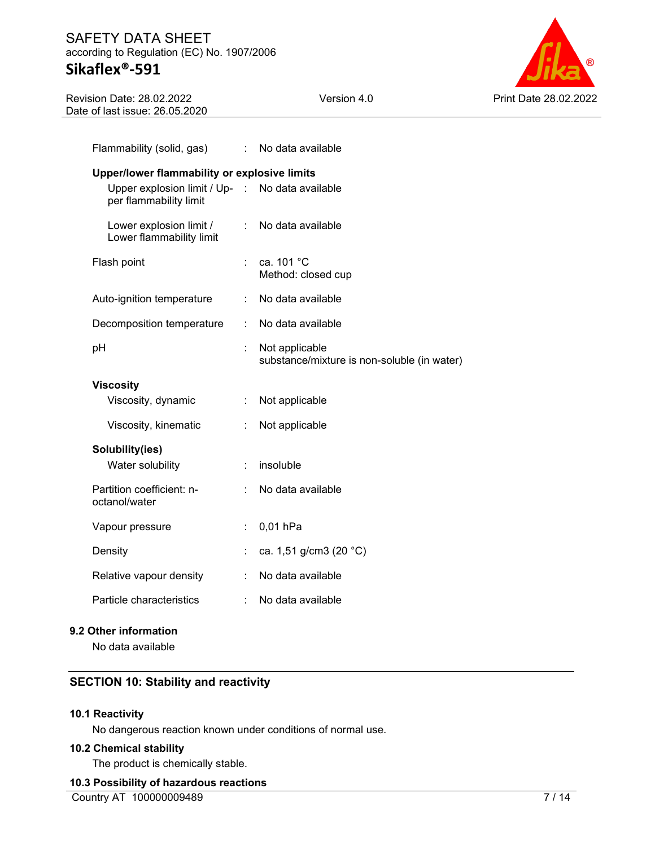#### SAFETY DATA SHEET according to Regulation (EC) No. 1907/2006 **Sikaflex®-591**



Revision Date: 28.02.2022 Date of last issue: 26.05.2020

| Flammability (solid, gas)                               |    | : No data available                                           |  |  |
|---------------------------------------------------------|----|---------------------------------------------------------------|--|--|
| Upper/lower flammability or explosive limits            |    |                                                               |  |  |
| Upper explosion limit / Up- :<br>per flammability limit |    | No data available                                             |  |  |
| Lower explosion limit /<br>Lower flammability limit     | ÷  | No data available                                             |  |  |
| Flash point                                             | ÷  | ca. 101 °C<br>Method: closed cup                              |  |  |
| Auto-ignition temperature                               | ÷  | No data available                                             |  |  |
| Decomposition temperature                               | ÷. | No data available                                             |  |  |
| рH                                                      |    | Not applicable<br>substance/mixture is non-soluble (in water) |  |  |
| <b>Viscosity</b>                                        |    |                                                               |  |  |
| Viscosity, dynamic                                      | ÷  | Not applicable                                                |  |  |
| Viscosity, kinematic                                    |    | Not applicable                                                |  |  |
| Solubility(ies)                                         |    |                                                               |  |  |
| Water solubility                                        |    | insoluble                                                     |  |  |
| Partition coefficient: n-<br>octanol/water              |    | No data available                                             |  |  |
| Vapour pressure                                         | ÷. | 0,01 hPa                                                      |  |  |
| Density                                                 | ÷  | ca. 1,51 g/cm3 (20 °C)                                        |  |  |
| Relative vapour density                                 |    | No data available                                             |  |  |
| Particle characteristics                                |    | No data available                                             |  |  |
|                                                         |    |                                                               |  |  |

#### **9.2 Other information**

No data available

## **SECTION 10: Stability and reactivity**

#### **10.1 Reactivity**

No dangerous reaction known under conditions of normal use.

#### **10.2 Chemical stability**

The product is chemically stable.

#### **10.3 Possibility of hazardous reactions**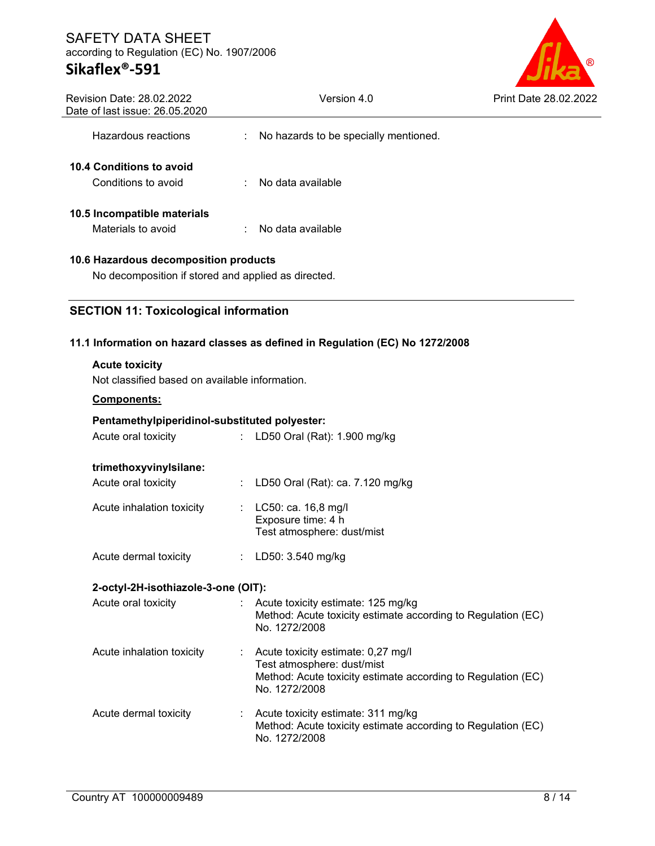# **Sikaflex®-591**



| Revision Date: 28.02.2022<br>Date of last issue: 26.05.2020                                  | Version 4.0                                                                                                                                         | Print Date 28.02.2022 |
|----------------------------------------------------------------------------------------------|-----------------------------------------------------------------------------------------------------------------------------------------------------|-----------------------|
| Hazardous reactions                                                                          | No hazards to be specially mentioned.                                                                                                               |                       |
| 10.4 Conditions to avoid<br>Conditions to avoid                                              | No data available                                                                                                                                   |                       |
| 10.5 Incompatible materials<br>Materials to avoid                                            | $\therefore$ No data available                                                                                                                      |                       |
| 10.6 Hazardous decomposition products<br>No decomposition if stored and applied as directed. |                                                                                                                                                     |                       |
| <b>SECTION 11: Toxicological information</b>                                                 |                                                                                                                                                     |                       |
|                                                                                              | 11.1 Information on hazard classes as defined in Regulation (EC) No 1272/2008                                                                       |                       |
| <b>Acute toxicity</b><br>Not classified based on available information.<br>Components:       |                                                                                                                                                     |                       |
| Pentamethylpiperidinol-substituted polyester:                                                |                                                                                                                                                     |                       |
| Acute oral toxicity                                                                          | : LD50 Oral (Rat): 1.900 mg/kg                                                                                                                      |                       |
| trimethoxyvinylsilane:<br>Acute oral toxicity                                                | : LD50 Oral (Rat): ca. 7.120 mg/kg                                                                                                                  |                       |
| Acute inhalation toxicity                                                                    | : $LC50: ca. 16, 8 mg/l$<br>Exposure time: 4 h<br>Test atmosphere: dust/mist                                                                        |                       |
| Acute dermal toxicity                                                                        | : LD50: $3.540$ mg/kg                                                                                                                               |                       |
| 2-octyl-2H-isothiazole-3-one (OIT):                                                          |                                                                                                                                                     |                       |
| Acute oral toxicity                                                                          | Acute toxicity estimate: 125 mg/kg<br>Method: Acute toxicity estimate according to Regulation (EC)<br>No. 1272/2008                                 |                       |
| Acute inhalation toxicity                                                                    | : Acute toxicity estimate: 0,27 mg/l<br>Test atmosphere: dust/mist<br>Method: Acute toxicity estimate according to Regulation (EC)<br>No. 1272/2008 |                       |
| Acute dermal toxicity                                                                        | Acute toxicity estimate: 311 mg/kg<br>Method: Acute toxicity estimate according to Regulation (EC)<br>No. 1272/2008                                 |                       |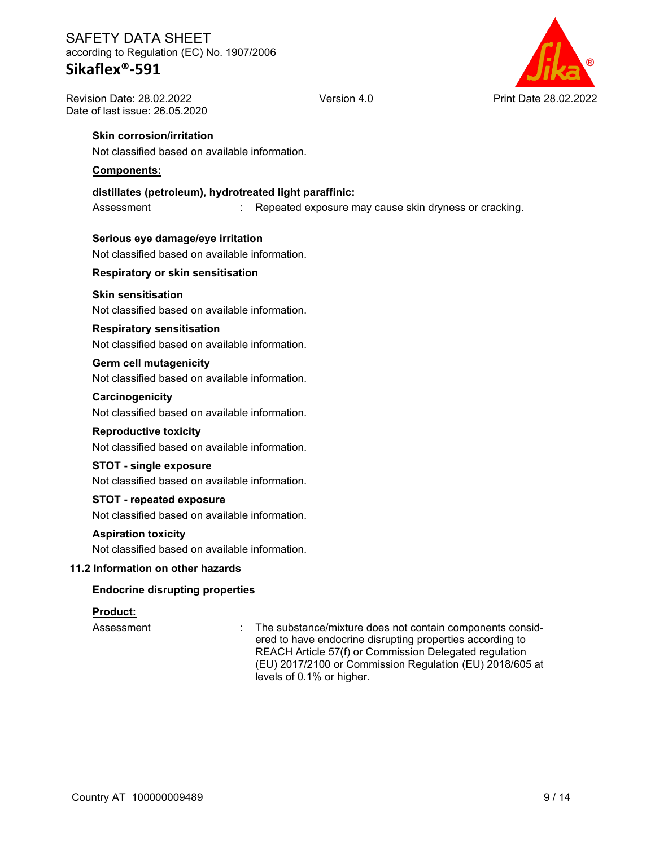

#### **Skin corrosion/irritation**

Not classified based on available information.

#### **Components:**

#### **distillates (petroleum), hydrotreated light paraffinic:**

Assessment : Repeated exposure may cause skin dryness or cracking.

#### **Serious eye damage/eye irritation**

Not classified based on available information.

#### **Respiratory or skin sensitisation**

#### **Skin sensitisation**

Not classified based on available information.

#### **Respiratory sensitisation**

Not classified based on available information.

#### **Germ cell mutagenicity**

Not classified based on available information.

#### **Carcinogenicity**

Not classified based on available information.

#### **Reproductive toxicity**

Not classified based on available information.

#### **STOT - single exposure**

Not classified based on available information.

#### **STOT - repeated exposure**

Not classified based on available information.

#### **Aspiration toxicity**

Not classified based on available information.

#### **11.2 Information on other hazards**

#### **Endocrine disrupting properties**

#### **Product:**

Assessment : The substance/mixture does not contain components considered to have endocrine disrupting properties according to REACH Article 57(f) or Commission Delegated regulation (EU) 2017/2100 or Commission Regulation (EU) 2018/605 at levels of 0.1% or higher.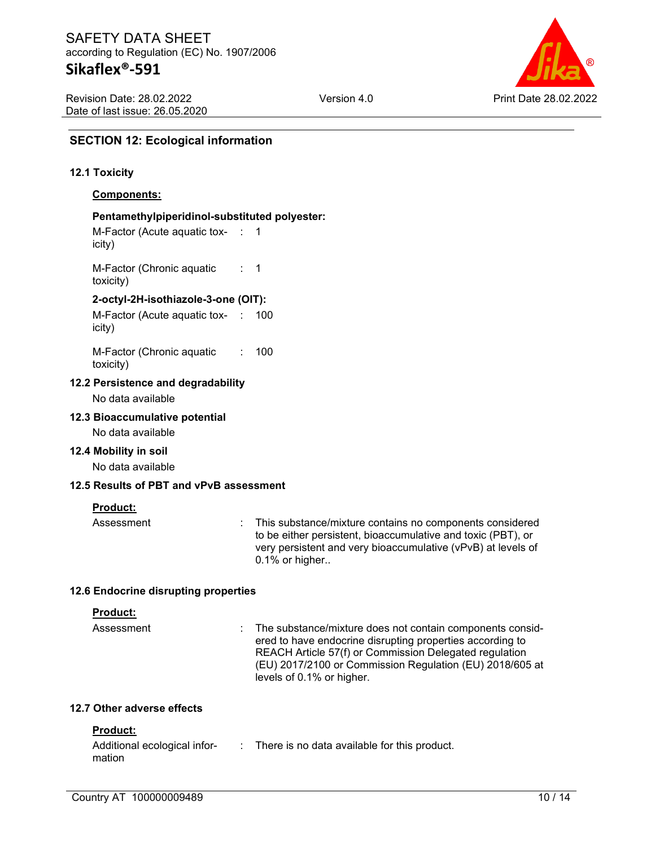

#### **SECTION 12: Ecological information**

#### **12.1 Toxicity**

#### **Components:**

#### **Pentamethylpiperidinol-substituted polyester:**

M-Factor (Acute aquatic tox-: 1 icity)

M-Factor (Chronic aquatic toxicity) : 1

#### **2-octyl-2H-isothiazole-3-one (OIT):**

M-Factor (Acute aquatic tox-: 100 icity)

M-Factor (Chronic aquatic toxicity) : 100

#### **12.2 Persistence and degradability**

No data available

#### **12.3 Bioaccumulative potential**

No data available

#### **12.4 Mobility in soil**

No data available

#### **12.5 Results of PBT and vPvB assessment**

#### **Product:**

Assessment : This substance/mixture contains no components considered to be either persistent, bioaccumulative and toxic (PBT), or very persistent and very bioaccumulative (vPvB) at levels of 0.1% or higher..

#### **12.6 Endocrine disrupting properties**

#### **Product:**

| Assessment | : The substance/mixture does not contain components consid- |
|------------|-------------------------------------------------------------|
|            | ered to have endocrine disrupting properties according to   |
|            | REACH Article 57(f) or Commission Delegated regulation      |
|            | (EU) 2017/2100 or Commission Regulation (EU) 2018/605 at    |
|            | levels of 0.1% or higher.                                   |

#### **12.7 Other adverse effects**

#### **Product:**

| Additional ecological infor- | There is no data available for this product. |
|------------------------------|----------------------------------------------|
| mation                       |                                              |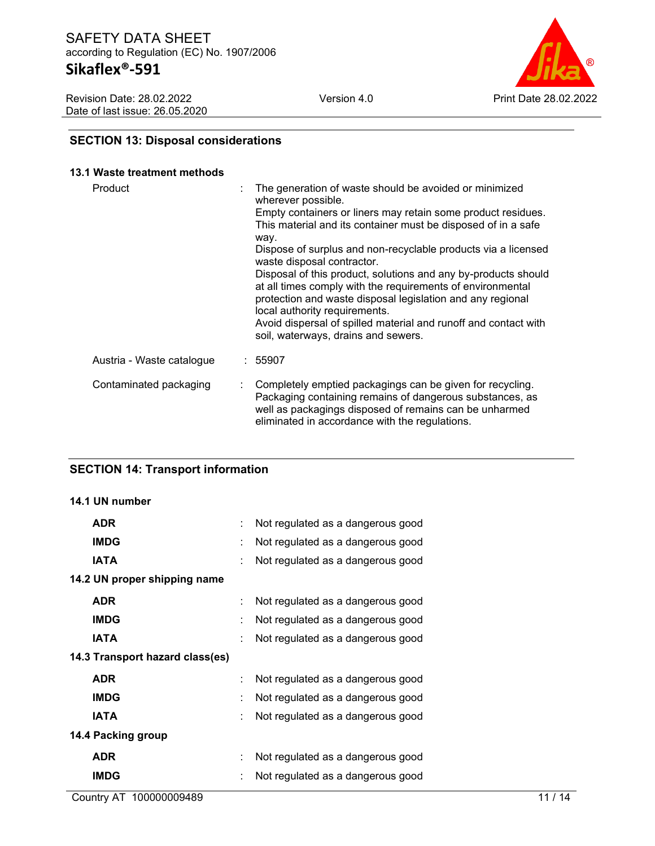

## **SECTION 13: Disposal considerations**

#### **13.1 Waste treatment methods**

| Product                   | The generation of waste should be avoided or minimized<br>wherever possible.                                                                                                                                                                                                                                                          |
|---------------------------|---------------------------------------------------------------------------------------------------------------------------------------------------------------------------------------------------------------------------------------------------------------------------------------------------------------------------------------|
|                           | Empty containers or liners may retain some product residues.<br>This material and its container must be disposed of in a safe<br>way.                                                                                                                                                                                                 |
|                           | Dispose of surplus and non-recyclable products via a licensed<br>waste disposal contractor.                                                                                                                                                                                                                                           |
|                           | Disposal of this product, solutions and any by-products should<br>at all times comply with the requirements of environmental<br>protection and waste disposal legislation and any regional<br>local authority requirements.<br>Avoid dispersal of spilled material and runoff and contact with<br>soil, waterways, drains and sewers. |
| Austria - Waste catalogue | : 55907                                                                                                                                                                                                                                                                                                                               |
| Contaminated packaging    | Completely emptied packagings can be given for recycling.<br>Packaging containing remains of dangerous substances, as<br>well as packagings disposed of remains can be unharmed<br>eliminated in accordance with the regulations.                                                                                                     |

#### **SECTION 14: Transport information**

#### **14.1 UN number**

| <b>ADR</b>                      | ÷. | Not regulated as a dangerous good |
|---------------------------------|----|-----------------------------------|
| <b>IMDG</b>                     |    | Not regulated as a dangerous good |
| <b>IATA</b>                     | ÷  | Not regulated as a dangerous good |
| 14.2 UN proper shipping name    |    |                                   |
| <b>ADR</b>                      |    | Not regulated as a dangerous good |
| <b>IMDG</b>                     | ÷  | Not regulated as a dangerous good |
| IATA                            |    | Not regulated as a dangerous good |
| 14.3 Transport hazard class(es) |    |                                   |
| <b>ADR</b>                      |    | Not regulated as a dangerous good |
| <b>IMDG</b>                     |    | Not regulated as a dangerous good |
| IATA                            |    | Not regulated as a dangerous good |
| 14.4 Packing group              |    |                                   |
| <b>ADR</b>                      | ÷  | Not regulated as a dangerous good |
| <b>IMDG</b>                     |    | Not regulated as a dangerous good |
|                                 |    |                                   |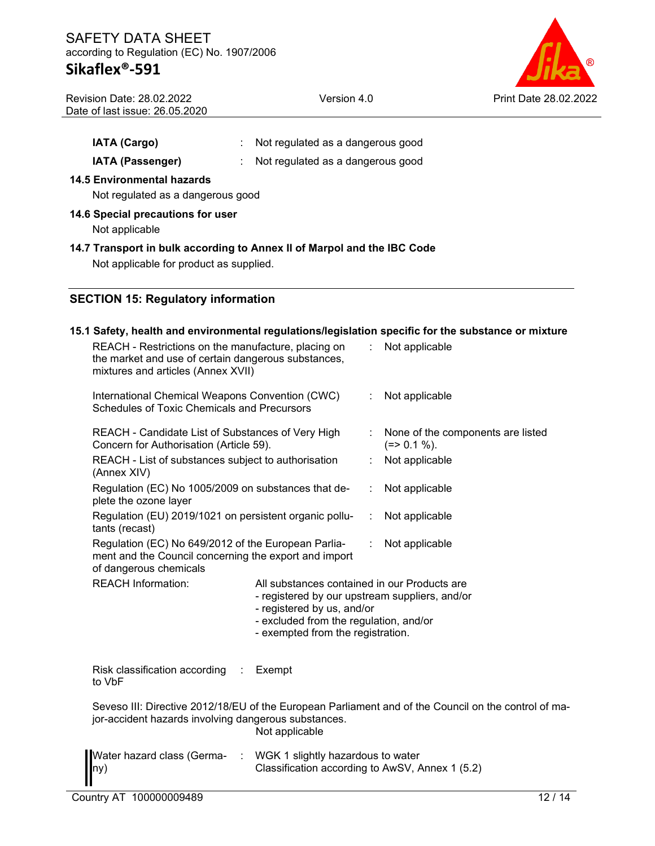## **Sikaflex®-591**

| ®                     |
|-----------------------|
| Print Date 28.02.2022 |

| <b>Revision Date: 28.02.2022</b> |
|----------------------------------|
| Date of last issue: 26.05.2020   |

**14.5 Environmental hazards**

Version 4.0 Print Date 28.02.2022

**IATA (Cargo)** : Not regulated as a dangerous good **IATA (Passenger)** : Not regulated as a dangerous good

| Not regulated as a dangerous good                                                                                  |                                                                                                                                                                                                             |   |                                                                                                      |  |  |  |
|--------------------------------------------------------------------------------------------------------------------|-------------------------------------------------------------------------------------------------------------------------------------------------------------------------------------------------------------|---|------------------------------------------------------------------------------------------------------|--|--|--|
| 14.6 Special precautions for user<br>Not applicable                                                                |                                                                                                                                                                                                             |   |                                                                                                      |  |  |  |
| 14.7 Transport in bulk according to Annex II of Marpol and the IBC Code<br>Not applicable for product as supplied. |                                                                                                                                                                                                             |   |                                                                                                      |  |  |  |
| <b>SECTION 15: Regulatory information</b>                                                                          |                                                                                                                                                                                                             |   |                                                                                                      |  |  |  |
|                                                                                                                    |                                                                                                                                                                                                             |   | 15.1 Safety, health and environmental regulations/legislation specific for the substance or mixture  |  |  |  |
|                                                                                                                    | REACH - Restrictions on the manufacture, placing on<br>the market and use of certain dangerous substances,<br>mixtures and articles (Annex XVII)                                                            |   |                                                                                                      |  |  |  |
| International Chemical Weapons Convention (CWC)<br>Schedules of Toxic Chemicals and Precursors                     |                                                                                                                                                                                                             | ÷ | Not applicable                                                                                       |  |  |  |
|                                                                                                                    | REACH - Candidate List of Substances of Very High<br>Concern for Authorisation (Article 59).                                                                                                                |   |                                                                                                      |  |  |  |
| REACH - List of substances subject to authorisation<br>(Annex XIV)                                                 |                                                                                                                                                                                                             |   | Not applicable                                                                                       |  |  |  |
| plete the ozone layer                                                                                              | Regulation (EC) No 1005/2009 on substances that de-                                                                                                                                                         |   | Not applicable                                                                                       |  |  |  |
| tants (recast)                                                                                                     | Regulation (EU) 2019/1021 on persistent organic pollu-                                                                                                                                                      |   |                                                                                                      |  |  |  |
| of dangerous chemicals                                                                                             | Regulation (EC) No 649/2012 of the European Parlia-<br>ment and the Council concerning the export and import                                                                                                |   |                                                                                                      |  |  |  |
| <b>REACH Information:</b>                                                                                          | All substances contained in our Products are<br>- registered by our upstream suppliers, and/or<br>- registered by us, and/or<br>- excluded from the regulation, and/or<br>- exempted from the registration. |   |                                                                                                      |  |  |  |
| Risk classification according<br>to VbF                                                                            | Exempt                                                                                                                                                                                                      |   |                                                                                                      |  |  |  |
| jor-accident hazards involving dangerous substances.                                                               | Not applicable                                                                                                                                                                                              |   | Seveso III: Directive 2012/18/EU of the European Parliament and of the Council on the control of ma- |  |  |  |
| Water hazard class (Germa-<br>lny)                                                                                 | : WGK 1 slightly hazardous to water<br>Classification according to AwSV, Annex 1 (5.2)                                                                                                                      |   |                                                                                                      |  |  |  |
| Country AT 100000009489                                                                                            |                                                                                                                                                                                                             |   | 12/14                                                                                                |  |  |  |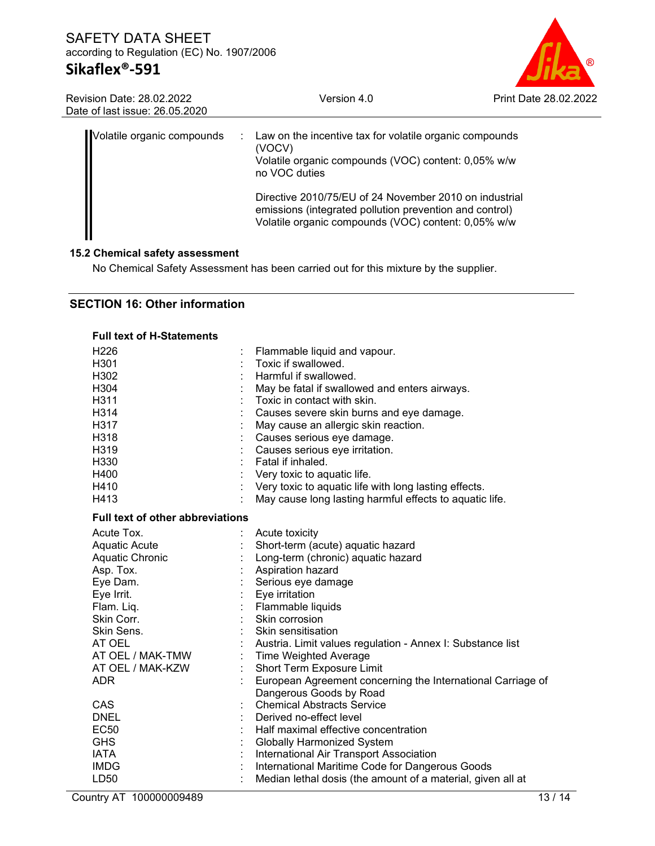## **Sikaflex®-591**

Version 4.0 Print Date 28.02.2022

| <b>Revision Date: 28.02.2022</b> |  |
|----------------------------------|--|
| Date of last issue: 26,05,2020   |  |

| Volatile organic compounds | $\mathcal{L}$ | Law on the incentive tax for volatile organic compounds<br>(VOCV)<br>Volatile organic compounds (VOC) content: 0,05% w/w<br>no VOC duties                                |
|----------------------------|---------------|--------------------------------------------------------------------------------------------------------------------------------------------------------------------------|
|                            |               | Directive 2010/75/EU of 24 November 2010 on industrial<br>emissions (integrated pollution prevention and control)<br>Volatile organic compounds (VOC) content: 0,05% w/w |

#### **15.2 Chemical safety assessment**

No Chemical Safety Assessment has been carried out for this mixture by the supplier.

#### **SECTION 16: Other information**

| <b>Full text of H-Statements</b> |                                                             |
|----------------------------------|-------------------------------------------------------------|
| H226                             | Flammable liquid and vapour.                                |
| H301                             | Toxic if swallowed.                                         |
| H302                             | Harmful if swallowed.                                       |
| H304                             | May be fatal if swallowed and enters airways.               |
| H311                             | Toxic in contact with skin.                                 |
| H314                             | Causes severe skin burns and eye damage.                    |
| H317                             | May cause an allergic skin reaction.                        |
| H318                             | Causes serious eye damage.                                  |
| H319                             | Causes serious eye irritation.                              |
| H330                             | Fatal if inhaled.                                           |
| H400                             | Very toxic to aquatic life.                                 |
| H410                             | Very toxic to aquatic life with long lasting effects.       |
| H413                             | May cause long lasting harmful effects to aquatic life.     |
| Full text of other abbreviations |                                                             |
| Acute Tox.                       | Acute toxicity                                              |
| <b>Aquatic Acute</b>             | Short-term (acute) aquatic hazard                           |
| Aquatic Chronic                  | Long-term (chronic) aquatic hazard                          |
| Asp. Tox.                        | Aspiration hazard                                           |
| Eye Dam.                         | Serious eye damage                                          |
| Eye Irrit.                       | Eye irritation                                              |
| Flam. Liq.                       | Flammable liquids                                           |
| Skin Corr.                       | Skin corrosion                                              |
| Skin Sens.                       | Skin sensitisation                                          |
| AT OEL                           | Austria. Limit values regulation - Annex I: Substance list  |
| AT OEL / MAK-TMW                 | <b>Time Weighted Average</b>                                |
| AT OEL / MAK-KZW                 | Short Term Exposure Limit                                   |
| <b>ADR</b>                       | European Agreement concerning the International Carriage of |
|                                  | Dangerous Goods by Road                                     |
| CAS                              | <b>Chemical Abstracts Service</b>                           |
| <b>DNEL</b>                      | Derived no-effect level                                     |
| <b>EC50</b>                      | Half maximal effective concentration                        |
| <b>GHS</b>                       | <b>Globally Harmonized System</b>                           |
| <b>IATA</b>                      | International Air Transport Association                     |
| <b>IMDG</b>                      | International Maritime Code for Dangerous Goods             |
| LD <sub>50</sub>                 | Median lethal dosis (the amount of a material, given all at |